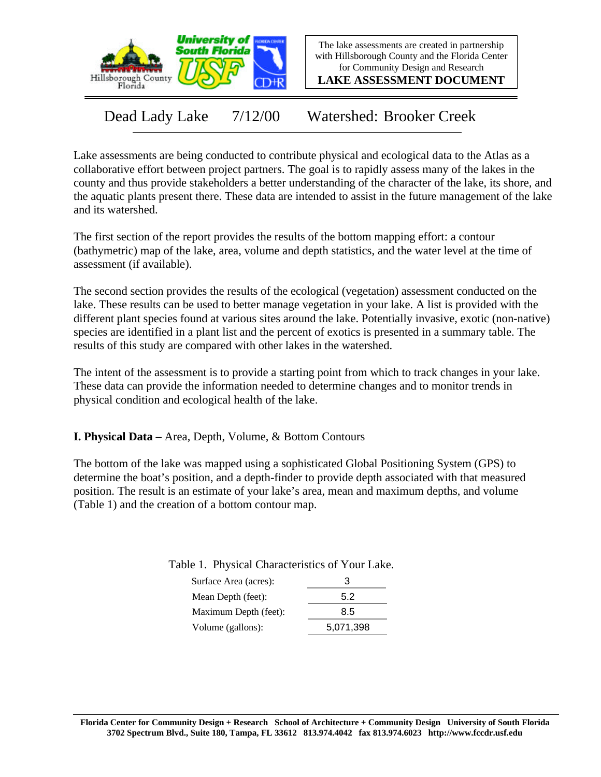

The lake assessments are created in partnership with Hillsborough County and the Florida Center for Community Design and Research

**LAKE ASSESSMENT DOCUMENT**

Dead Lady Lake 7/12/00 Watershed: Brooker Creek

Lake assessments are being conducted to contribute physical and ecological data to the Atlas as a collaborative effort between project partners. The goal is to rapidly assess many of the lakes in the county and thus provide stakeholders a better understanding of the character of the lake, its shore, and the aquatic plants present there. These data are intended to assist in the future management of the lake and its watershed.

The first section of the report provides the results of the bottom mapping effort: a contour (bathymetric) map of the lake, area, volume and depth statistics, and the water level at the time of assessment (if available).

The second section provides the results of the ecological (vegetation) assessment conducted on the lake. These results can be used to better manage vegetation in your lake. A list is provided with the different plant species found at various sites around the lake. Potentially invasive, exotic (non-native) species are identified in a plant list and the percent of exotics is presented in a summary table. The results of this study are compared with other lakes in the watershed.

The intent of the assessment is to provide a starting point from which to track changes in your lake. These data can provide the information needed to determine changes and to monitor trends in physical condition and ecological health of the lake.

**I. Physical Data –** Area, Depth, Volume, & Bottom Contours

The bottom of the lake was mapped using a sophisticated Global Positioning System (GPS) to determine the boat's position, and a depth-finder to provide depth associated with that measured position. The result is an estimate of your lake's area, mean and maximum depths, and volume (Table 1) and the creation of a bottom contour map.

| З         |
|-----------|
| 5.2       |
| 8.5       |
| 5,071,398 |
|           |

Table 1. Physical Characteristics of Your Lake.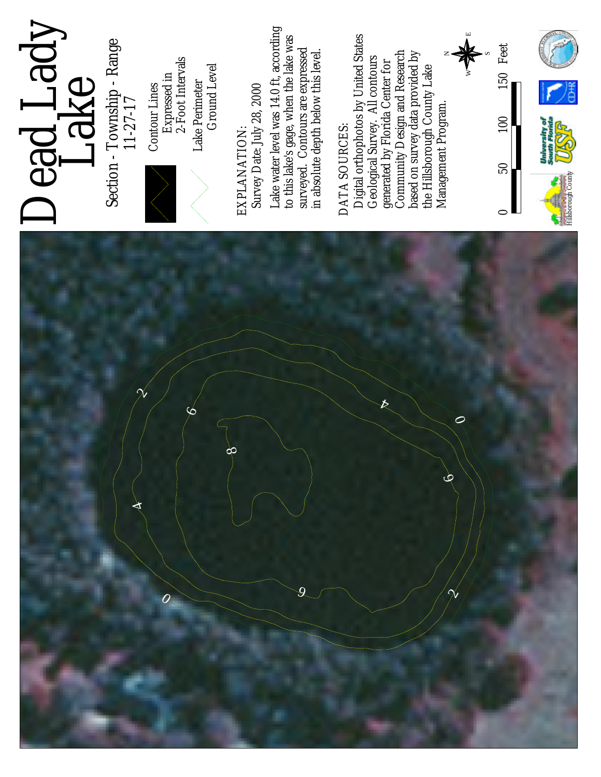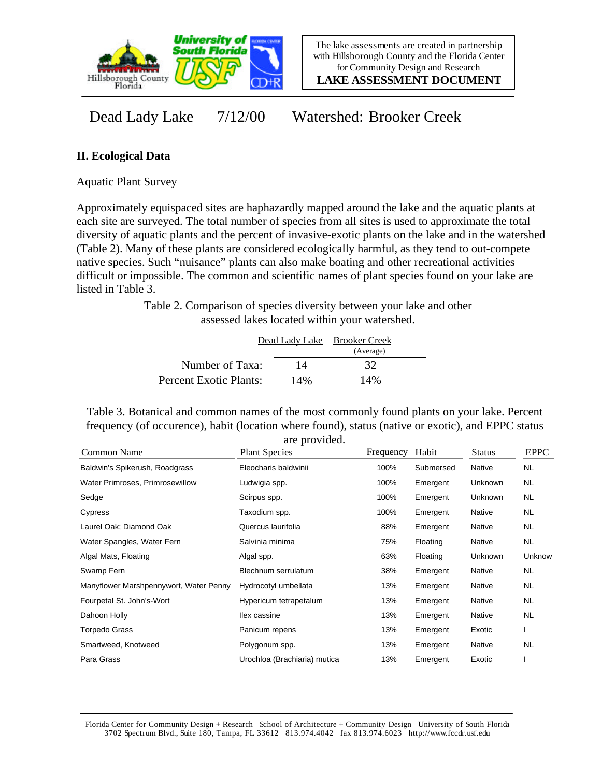

**LAKE ASSESSMENT DOCUMENT**

Dead Lady Lake 7/12/00 Watershed: Brooker Creek

## **II. Ecological Data**

Aquatic Plant Survey

Approximately equispaced sites are haphazardly mapped around the lake and the aquatic plants at each site are surveyed. The total number of species from all sites is used to approximate the total diversity of aquatic plants and the percent of invasive-exotic plants on the lake and in the watershed (Table 2). Many of these plants are considered ecologically harmful, as they tend to out-compete native species. Such "nuisance" plants can also make boating and other recreational activities difficult or impossible. The common and scientific names of plant species found on your lake are listed in Table 3.

> Table 2. Comparison of species diversity between your lake and other assessed lakes located within your watershed.

|                        |     | Dead Lady Lake Brooker Creek |  |
|------------------------|-----|------------------------------|--|
|                        |     | (Average)                    |  |
| Number of Taxa:        | 14  | 32                           |  |
| Percent Exotic Plants: | 14% | 14%                          |  |

Table 3. Botanical and common names of the most commonly found plants on your lake. Percent frequency (of occurence), habit (location where found), status (native or exotic), and EPPC status are provided.

| Common Name                            | <b>Plant Species</b>         | Frequency | Habit     | <b>Status</b>  | <b>EPPC</b> |
|----------------------------------------|------------------------------|-----------|-----------|----------------|-------------|
| Baldwin's Spikerush, Roadgrass         | Eleocharis baldwinii         | 100%      | Submersed | Native         | <b>NL</b>   |
| Water Primroses, Primrosewillow        | Ludwigia spp.                | 100%      | Emergent  | Unknown        | <b>NL</b>   |
| Sedge                                  | Scirpus spp.                 | 100%      | Emergent  | Unknown        | <b>NL</b>   |
| Cypress                                | Taxodium spp.                | 100%      | Emergent  | Native         | <b>NL</b>   |
| Laurel Oak; Diamond Oak                | Quercus laurifolia           | 88%       | Emergent  | Native         | <b>NL</b>   |
| Water Spangles, Water Fern             | Salvinia minima              | 75%       | Floating  | Native         | <b>NL</b>   |
| Algal Mats, Floating                   | Algal spp.                   | 63%       | Floating  | <b>Unknown</b> | Unknow      |
| Swamp Fern                             | Blechnum serrulatum          | 38%       | Emergent  | Native         | <b>NL</b>   |
| Manyflower Marshpennywort, Water Penny | Hydrocotyl umbellata         | 13%       | Emergent  | Native         | <b>NL</b>   |
| Fourpetal St. John's-Wort              | Hypericum tetrapetalum       | 13%       | Emergent  | Native         | <b>NL</b>   |
| Dahoon Holly                           | llex cassine                 | 13%       | Emergent  | Native         | <b>NL</b>   |
| Torpedo Grass                          | Panicum repens               | 13%       | Emergent  | Exotic         |             |
| Smartweed, Knotweed                    | Polygonum spp.               | 13%       | Emergent  | Native         | <b>NL</b>   |
| Para Grass                             | Urochloa (Brachiaria) mutica | 13%       | Emergent  | Exotic         |             |

Florida Center for Community Design + Research School of Architecture + Community Design University of South Florida 3702 Spectrum Blvd., Suite 180, Tampa, FL 33612 813.974.4042 fax 813.974.6023 http://www.fccdr.usf.edu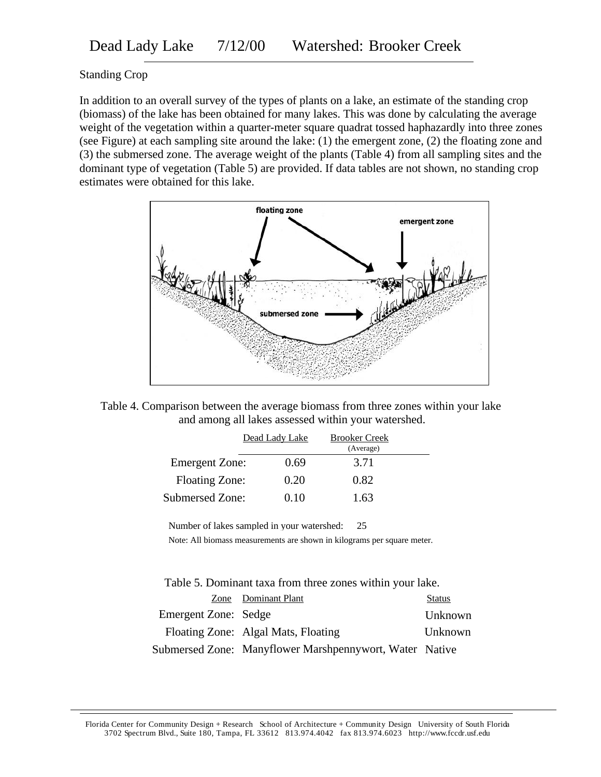## Standing Crop

In addition to an overall survey of the types of plants on a lake, an estimate of the standing crop (biomass) of the lake has been obtained for many lakes. This was done by calculating the average weight of the vegetation within a quarter-meter square quadrat tossed haphazardly into three zones (see Figure) at each sampling site around the lake: (1) the emergent zone, (2) the floating zone and (3) the submersed zone. The average weight of the plants (Table 4) from all sampling sites and the dominant type of vegetation (Table 5) are provided. If data tables are not shown, no standing crop estimates were obtained for this lake.





|                       | Dead Lady Lake | <b>Brooker Creek</b> |  |
|-----------------------|----------------|----------------------|--|
|                       |                | (Average)            |  |
| <b>Emergent Zone:</b> | 0.69           | 3.71                 |  |
| <b>Floating Zone:</b> | 0.20           | 0.82                 |  |
| Submersed Zone:       | 0.10           | 1.63                 |  |

Number of lakes sampled in your watershed: 25

Note: All biomass measurements are shown in kilograms per square meter.

Table 5. Dominant taxa from three zones within your lake.

|                      | Zone Dominant Plant                                     | <b>Status</b> |
|----------------------|---------------------------------------------------------|---------------|
| Emergent Zone: Sedge |                                                         | Unknown       |
|                      | Floating Zone: Algal Mats, Floating                     | Unknown       |
|                      | Submersed Zone: Manyflower Marshpennywort, Water Native |               |